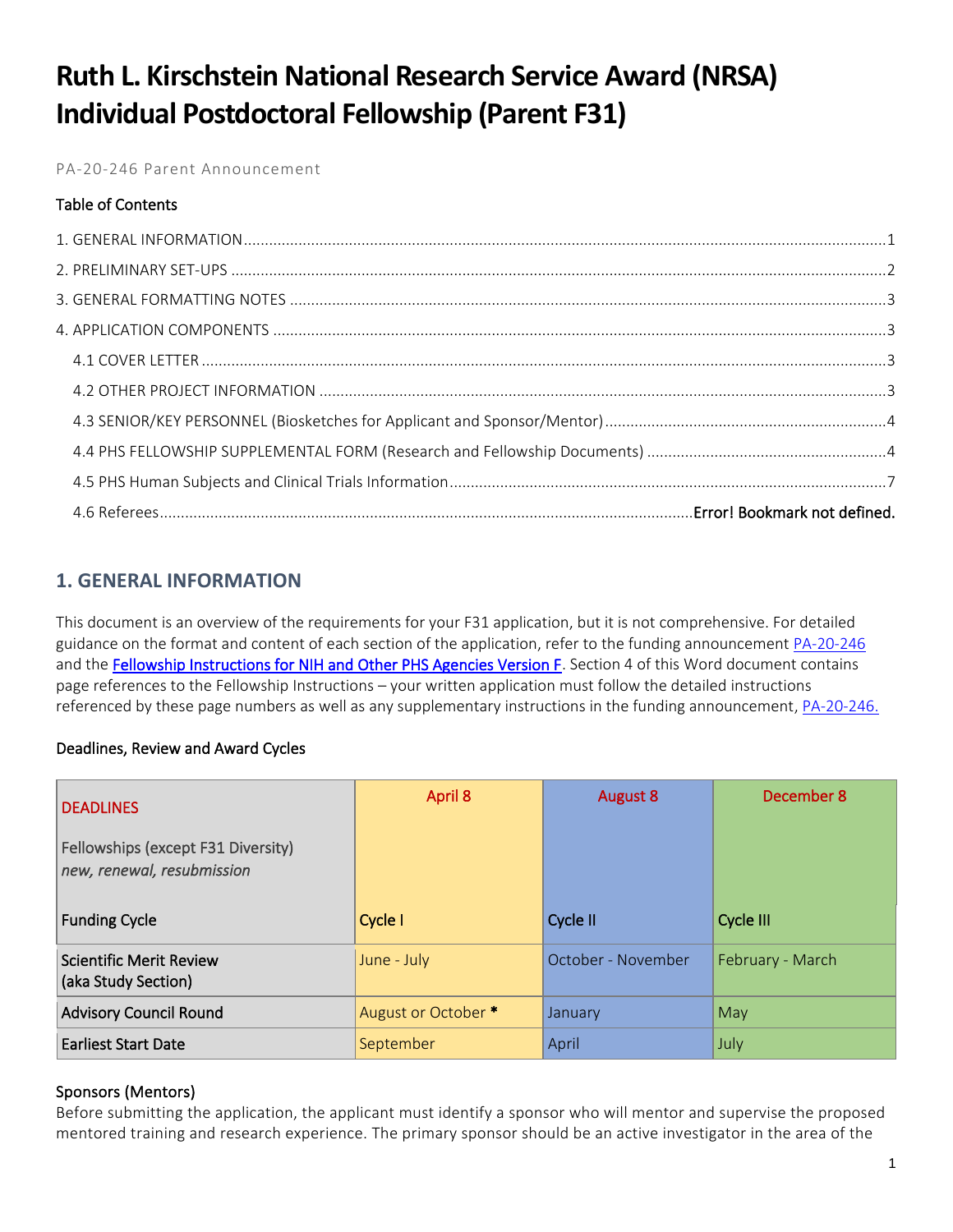# **Ruth L. Kirschstein National Research Service Award (NRSA) Individual Postdoctoral Fellowship (Parent F31)**

PA-20-246 Parent Announcement

# Table of Contents

# <span id="page-0-0"></span>**1. GENERAL INFORMATION**

This document is an overview of the requirements for your F31 application, but it is not comprehensive. For detailed guidance on the format and content of each section of the application, refer to the funding announcement [PA-20-246](https://grants.nih.gov/grants/guide/pa-files/PA-20-246.html) and the [Fellowship Instructions for NIH and Other PHS Agencies Version F.](https://grants.nih.gov/grants/how-to-apply-application-guide/forms-f/fellowship-forms-f.pdf) Section 4 of this Word document contains page references to the Fellowship Instructions – your written application must follow the detailed instructions referenced by these page numbers as well as any supplementary instructions in the funding announcement[, PA-20-246.](https://grants.nih.gov/grants/guide/pa-files/PA-20-246.html)

# Deadlines, Review and Award Cycles

| <b>DEADLINES</b><br>Fellowships (except F31 Diversity)<br>new, renewal, resubmission | April 8             | <b>August 8</b>    | December 8       |
|--------------------------------------------------------------------------------------|---------------------|--------------------|------------------|
| <b>Funding Cycle</b>                                                                 | Cycle I             | Cycle II           | Cycle III        |
| <b>Scientific Merit Review</b><br>(aka Study Section)                                | June - July         | October - November | February - March |
| <b>Advisory Council Round</b>                                                        | August or October * | January            | May              |
| <b>Earliest Start Date</b>                                                           | September           | April              | July             |

# Sponsors (Mentors)

Before submitting the application, the applicant must identify a sponsor who will mentor and supervise the proposed mentored training and research experience. The primary sponsor should be an active investigator in the area of the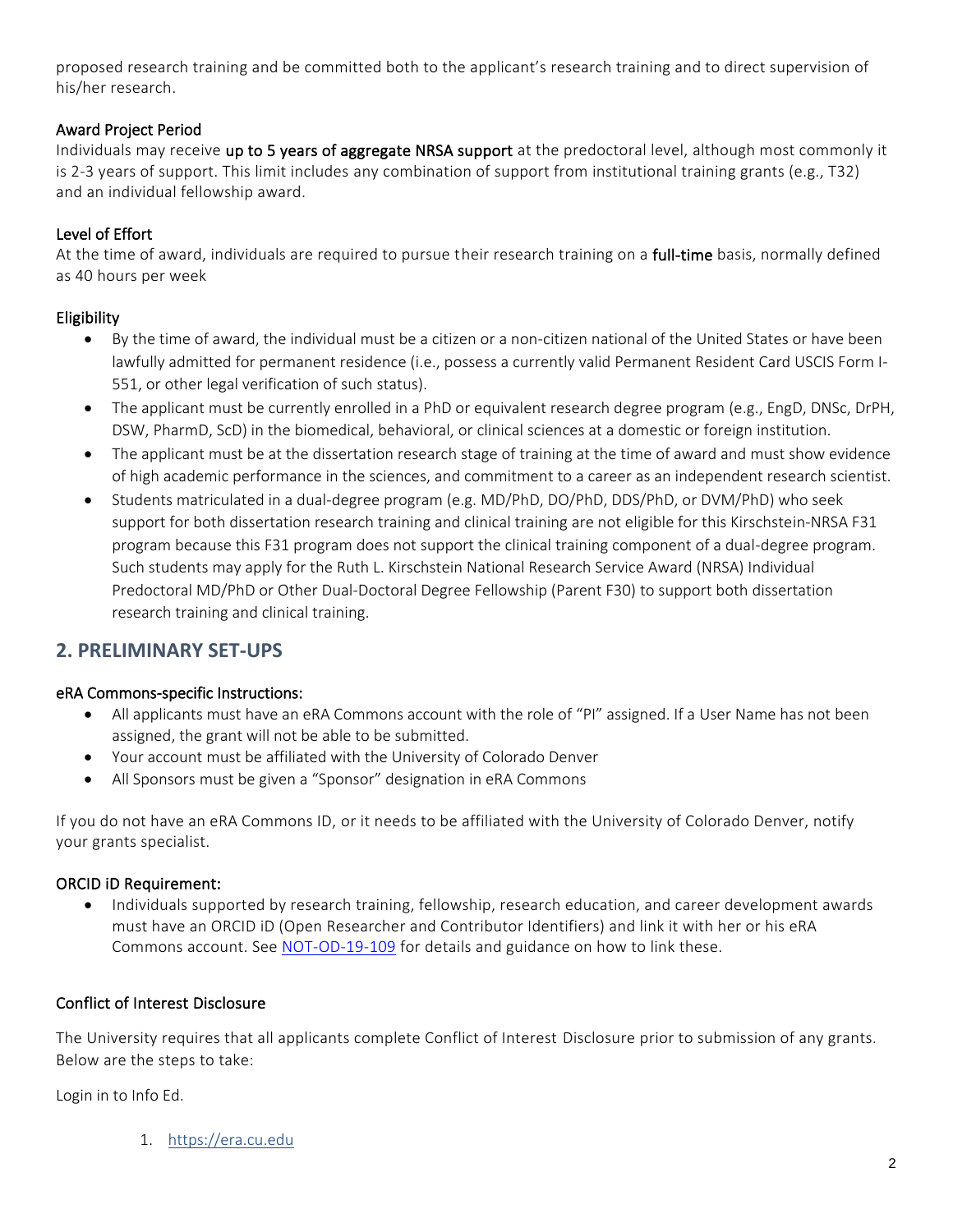proposed research training and be committed both to the applicant's research training and to direct supervision of his/her research.

# Award Project Period

Individuals may receive up to 5 years of aggregate NRSA support at the predoctoral level, although most commonly it is 2-3 years of support. This limit includes any combination of support from institutional training grants (e.g., T32) and an individual fellowship award.

# Level of Effort

At the time of award, individuals are required to pursue their research training on a full-time basis, normally defined as 40 hours per week

# Eligibility

- By the time of award, the individual must be a citizen or a non-citizen national of the United States or have been lawfully admitted for permanent residence (i.e., possess a currently valid Permanent Resident Card USCIS Form I-551, or other legal verification of such status).
- The applicant must be currently enrolled in a PhD or equivalent research degree program (e.g., EngD, DNSc, DrPH, DSW, PharmD, ScD) in the biomedical, behavioral, or clinical sciences at a domestic or foreign institution.
- The applicant must be at the dissertation research stage of training at the time of award and must show evidence of high academic performance in the sciences, and commitment to a career as an independent research scientist.
- Students matriculated in a dual-degree program (e.g. MD/PhD, DO/PhD, DDS/PhD, or DVM/PhD) who seek support for both dissertation research training and clinical training are not eligible for this Kirschstein-NRSA F31 program because this F31 program does not support the clinical training component of a dual-degree program. Such students may apply for the Ruth L. Kirschstein National Research Service Award (NRSA) Individual Predoctoral MD/PhD or Other Dual-Doctoral Degree Fellowship (Parent F30) to support both dissertation research training and clinical training.

# <span id="page-1-0"></span>**2. PRELIMINARY SET-UPS**

# eRA Commons-specific Instructions:

- All applicants must have an eRA Commons account with the role of "PI" assigned. If a User Name has not been assigned, the grant will not be able to be submitted.
- Your account must be affiliated with the University of Colorado Denver
- All Sponsors must be given a "Sponsor" designation in eRA Commons

If you do not have an eRA Commons ID, or it needs to be affiliated with the University of Colorado Denver, notify your grants specialist.

# ORCID iD Requirement:

• Individuals supported by research training, fellowship, research education, and career development awards must have an ORCID iD (Open Researcher and Contributor Identifiers) and link it with her or his eRA Commons account. See [NOT-OD-19-109](https://grants.nih.gov/grants/guide/notice-files/NOT-OD-19-109.html) for details and guidance on how to link these.

# Conflict of Interest Disclosure

The University requires that all applicants complete Conflict of Interest Disclosure prior to submission of any grants. Below are the steps to take:

Login in to Info Ed.

1. [https://era.cu.edu](https://era.cu.edu/)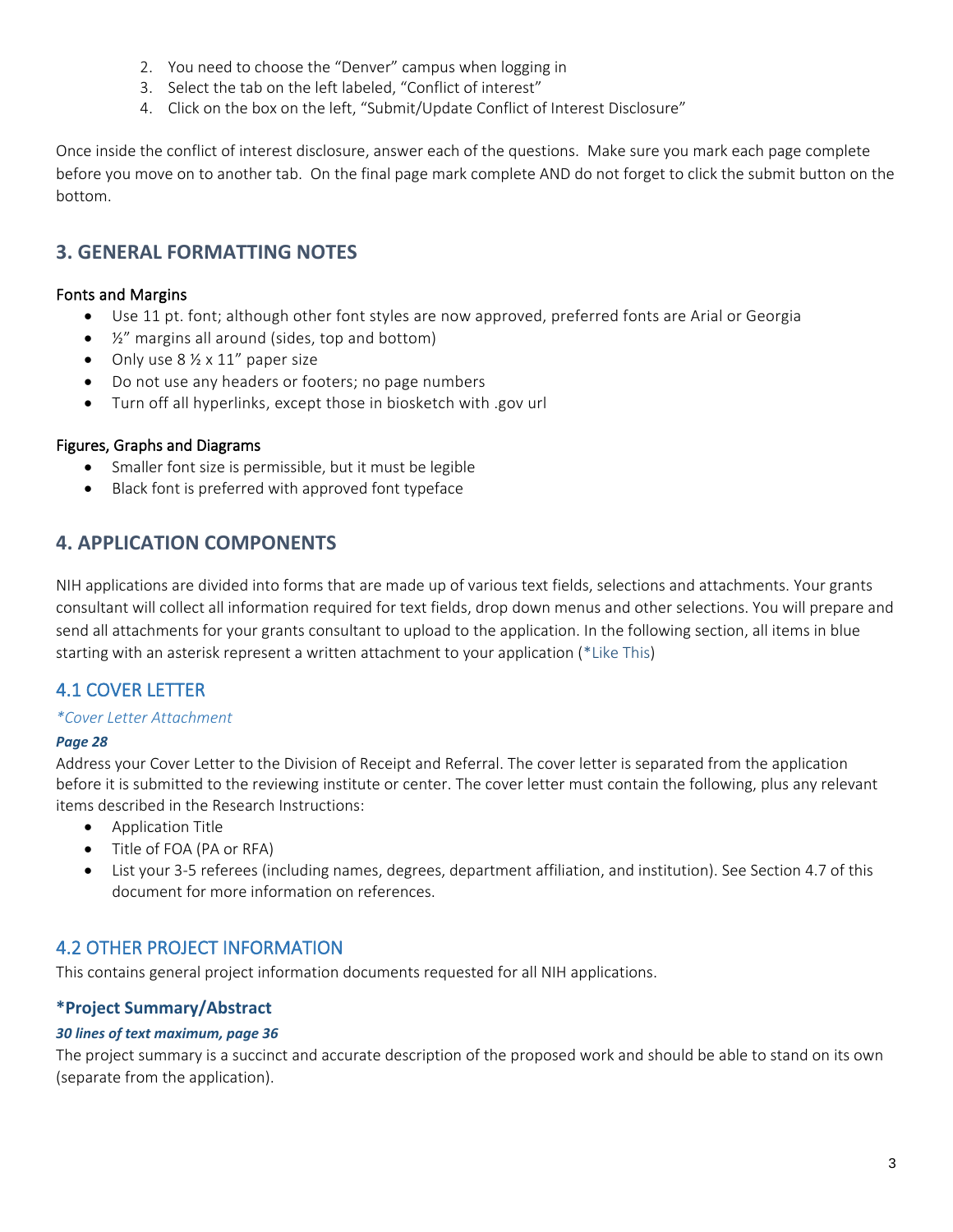- 2. You need to choose the "Denver" campus when logging in
- 3. Select the tab on the left labeled, "Conflict of interest"
- 4. Click on the box on the left, "Submit/Update Conflict of Interest Disclosure"

Once inside the conflict of interest disclosure, answer each of the questions. Make sure you mark each page complete before you move on to another tab. On the final page mark complete AND do not forget to click the submit button on the bottom.

# <span id="page-2-0"></span>**3. GENERAL FORMATTING NOTES**

## Fonts and Margins

- Use 11 pt. font; although other font styles are now approved, preferred fonts are Arial or Georgia
- $\bullet$   $\frac{1}{2}$ " margins all around (sides, top and bottom)
- Only use  $8\frac{1}{2} \times 11''$  paper size
- Do not use any headers or footers; no page numbers
- Turn off all hyperlinks, except those in biosketch with .gov url

## Figures, Graphs and Diagrams

- Smaller font size is permissible, but it must be legible
- Black font is preferred with approved font typeface

# <span id="page-2-1"></span>**4. APPLICATION COMPONENTS**

NIH applications are divided into forms that are made up of various text fields, selections and attachments. Your grants consultant will collect all information required for text fields, drop down menus and other selections. You will prepare and send all attachments for your grants consultant to upload to the application. In the following section, all items in blue starting with an asterisk represent a written attachment to your application (\*Like This)

# <span id="page-2-2"></span>4.1 COVER LETTER

### *\*Cover Letter Attachment*

### *Page 28*

Address your Cover Letter to the Division of Receipt and Referral. The cover letter is separated from the application before it is submitted to the reviewing institute or center. The cover letter must contain the following, plus any relevant items described in the Research Instructions:

- Application Title
- Title of FOA (PA or RFA)
- List your 3-5 referees (including names, degrees, department affiliation, and institution). See Section 4.7 of this document for more information on references.

# <span id="page-2-3"></span>4.2 OTHER PROJECT INFORMATION

This contains general project information documents requested for all NIH applications.

# **\*Project Summary/Abstract**

### *30 lines of text maximum, page 36*

The project summary is a succinct and accurate description of the proposed work and should be able to stand on its own (separate from the application).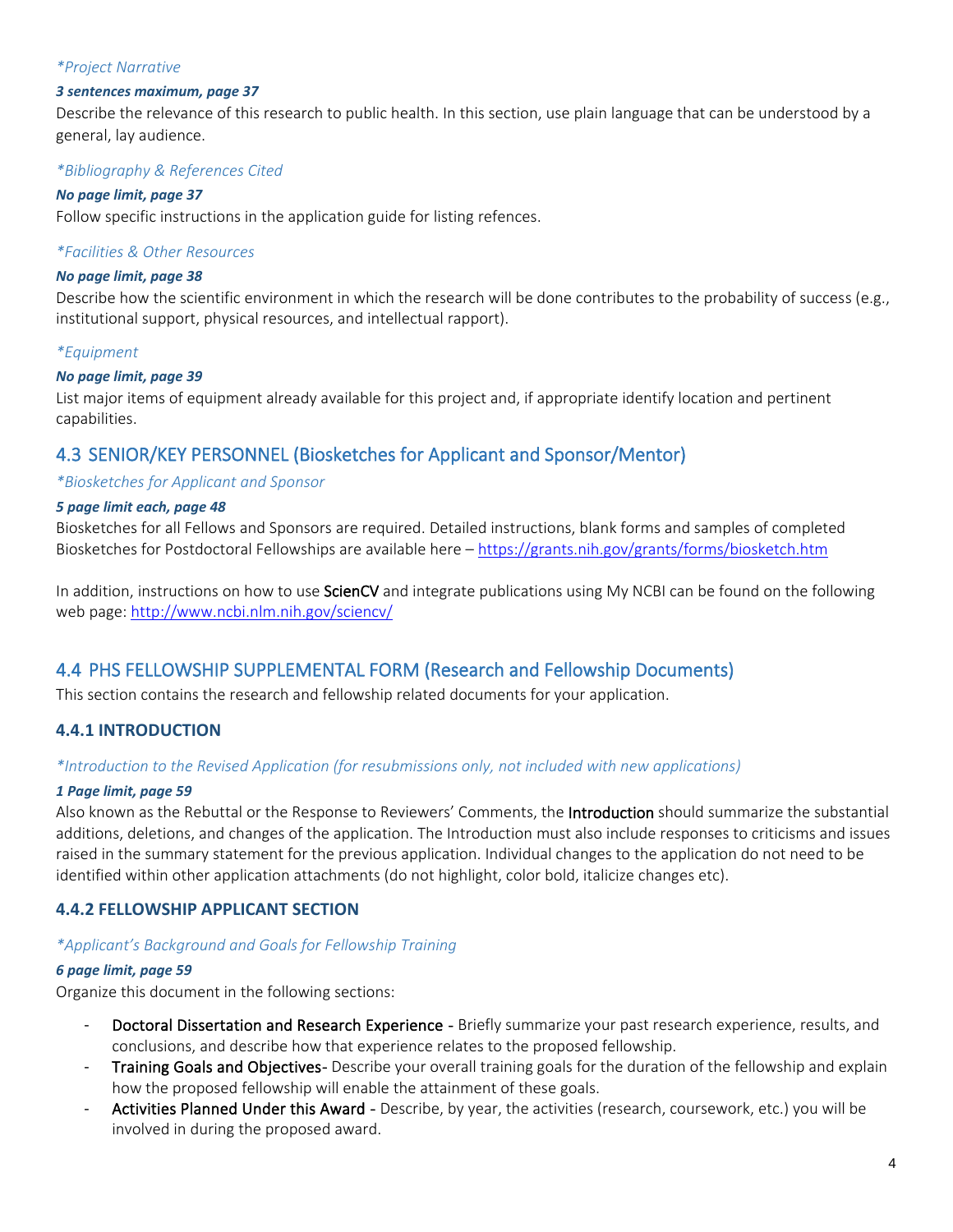### *\*Project Narrative*

### *3 sentences maximum, page 37*

Describe the relevance of this research to public health. In this section, use plain language that can be understood by a general, lay audience.

# *\*Bibliography & References Cited*

#### *No page limit, page 37*

Follow specific instructions in the application guide for listing refences.

### *\*Facilities & Other Resources*

### *No page limit, page 38*

Describe how the scientific environment in which the research will be done contributes to the probability of success (e.g., institutional support, physical resources, and intellectual rapport).

### *\*Equipment*

### *No page limit, page 39*

List major items of equipment already available for this project and, if appropriate identify location and pertinent capabilities.

# <span id="page-3-0"></span>4.3 SENIOR/KEY PERSONNEL (Biosketches for Applicant and Sponsor/Mentor)

### *\*Biosketches for Applicant and Sponsor*

### *5 page limit each, page 48*

Biosketches for all Fellows and Sponsors are required. Detailed instructions, blank forms and samples of completed Biosketches for Postdoctoral Fellowships are available here – <https://grants.nih.gov/grants/forms/biosketch.htm>

In addition, instructions on how to use ScienCV and integrate publications using My NCBI can be found on the following web page:<http://www.ncbi.nlm.nih.gov/sciencv/>

# <span id="page-3-1"></span>4.4 PHS FELLOWSHIP SUPPLEMENTAL FORM (Research and Fellowship Documents)

This section contains the research and fellowship related documents for your application.

# **4.4.1 INTRODUCTION**

### *\*Introduction to the Revised Application (for resubmissions only, not included with new applications)*

### *1 Page limit, page 59*

Also known as the Rebuttal or the Response to Reviewers' Comments, the Introduction should summarize the substantial additions, deletions, and changes of the application. The Introduction must also include responses to criticisms and issues raised in the summary statement for the previous application. Individual changes to the application do not need to be identified within other application attachments (do not highlight, color bold, italicize changes etc).

# **4.4.2 FELLOWSHIP APPLICANT SECTION**

### *\*Applicant's Background and Goals for Fellowship Training*

### *6 page limit, page 59*

Organize this document in the following sections:

- Doctoral Dissertation and Research Experience Briefly summarize your past research experience, results, and conclusions, and describe how that experience relates to the proposed fellowship.
- Training Goals and Objectives- Describe your overall training goals for the duration of the fellowship and explain how the proposed fellowship will enable the attainment of these goals.
- Activities Planned Under this Award Describe, by year, the activities (research, coursework, etc.) you will be involved in during the proposed award.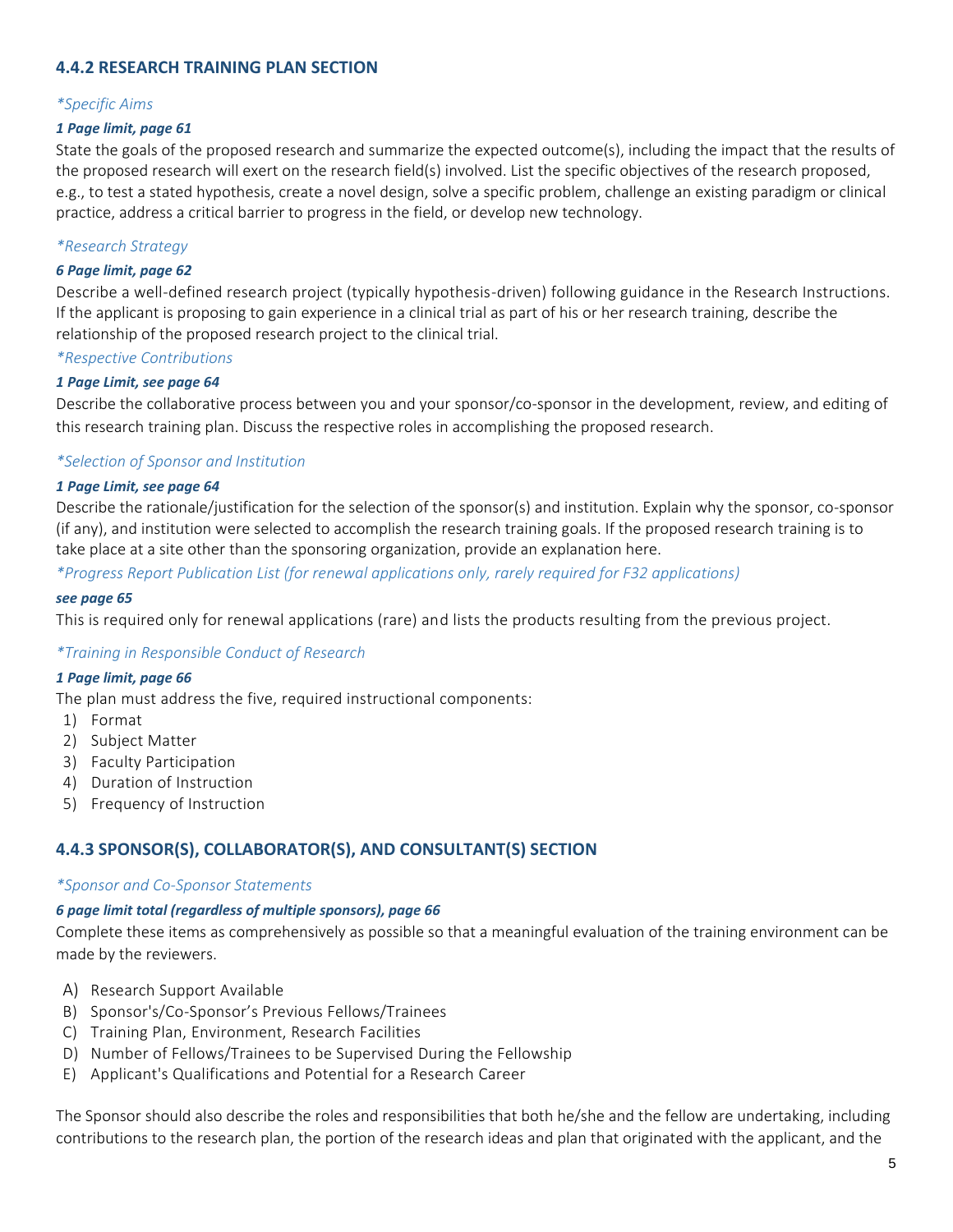# **4.4.2 RESEARCH TRAINING PLAN SECTION**

### *\*Specific Aims*

### *1 Page limit, page 61*

State the goals of the proposed research and summarize the expected outcome(s), including the impact that the results of the proposed research will exert on the research field(s) involved. List the specific objectives of the research proposed, e.g., to test a stated hypothesis, create a novel design, solve a specific problem, challenge an existing paradigm or clinical practice, address a critical barrier to progress in the field, or develop new technology.

### *\*Research Strategy*

#### *6 Page limit, page 62*

Describe a well-defined research project (typically hypothesis-driven) following guidance in the Research Instructions. If the applicant is proposing to gain experience in a clinical trial as part of his or her research training, describe the relationship of the proposed research project to the clinical trial.

#### *\*Respective Contributions*

#### *1 Page Limit, see page 64*

Describe the collaborative process between you and your sponsor/co-sponsor in the development, review, and editing of this research training plan. Discuss the respective roles in accomplishing the proposed research.

### *\*Selection of Sponsor and Institution*

#### *1 Page Limit, see page 64*

Describe the rationale/justification for the selection of the sponsor(s) and institution. Explain why the sponsor, co-sponsor (if any), and institution were selected to accomplish the research training goals. If the proposed research training is to take place at a site other than the sponsoring organization, provide an explanation here.

*\*Progress Report Publication List (for renewal applications only, rarely required for F32 applications)*

#### *see page 65*

This is required only for renewal applications (rare) and lists the products resulting from the previous project.

#### *\*Training in Responsible Conduct of Research*

#### *1 Page limit, page 66*

The plan must address the five, required instructional components:

- 1) Format
- 2) Subject Matter
- 3) Faculty Participation
- 4) Duration of Instruction
- 5) Frequency of Instruction

# **4.4.3 SPONSOR(S), COLLABORATOR(S), AND CONSULTANT(S) SECTION**

#### *\*Sponsor and Co-Sponsor Statements*

#### *6 page limit total (regardless of multiple sponsors), page 66*

Complete these items as comprehensively as possible so that a meaningful evaluation of the training environment can be made by the reviewers.

- A) Research Support Available
- B) Sponsor's/Co-Sponsor's Previous Fellows/Trainees
- C) Training Plan, Environment, Research Facilities
- D) Number of Fellows/Trainees to be Supervised During the Fellowship
- E) Applicant's Qualifications and Potential for a Research Career

The Sponsor should also describe the roles and responsibilities that both he/she and the fellow are undertaking, including contributions to the research plan, the portion of the research ideas and plan that originated with the applicant, and the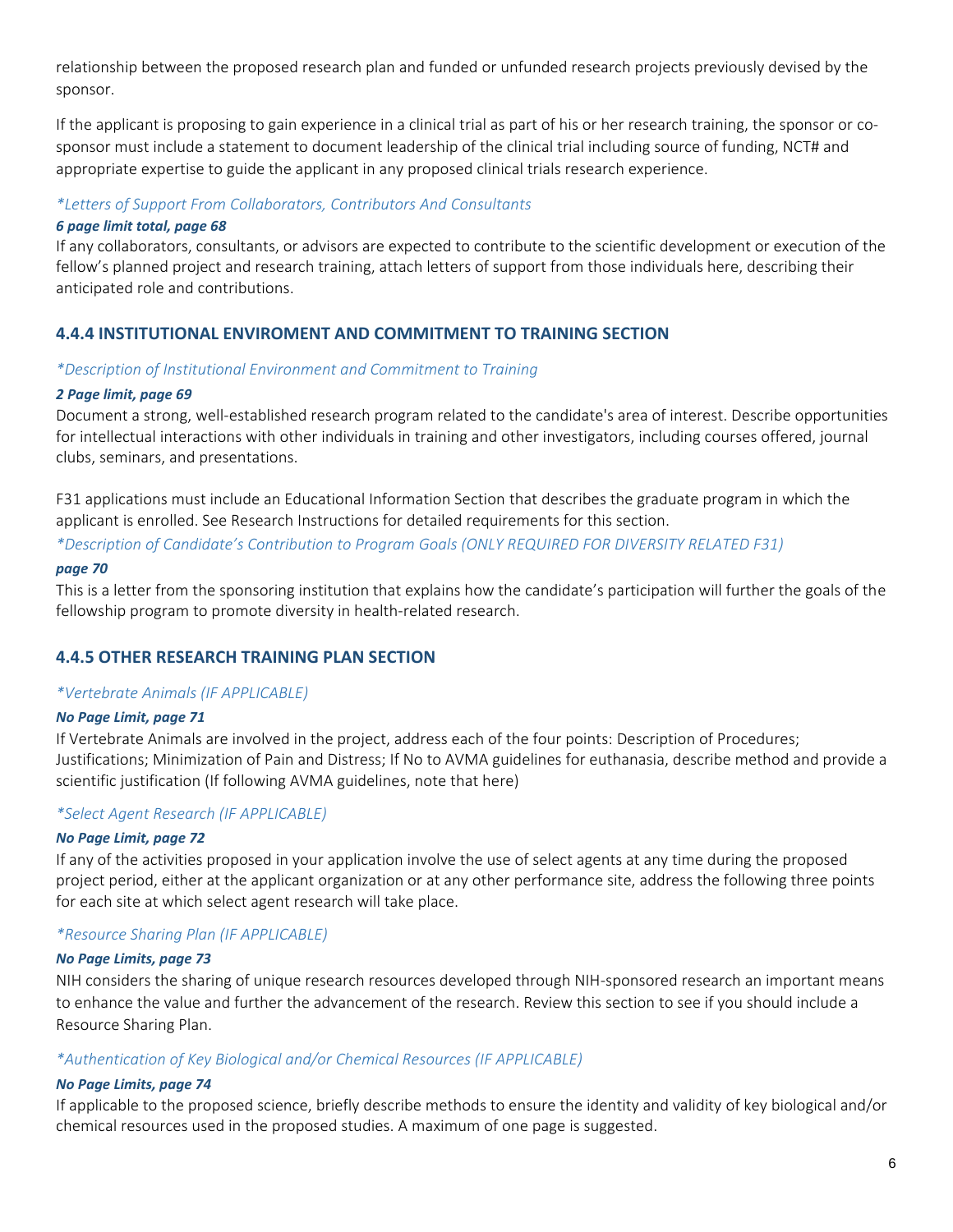relationship between the proposed research plan and funded or unfunded research projects previously devised by the sponsor.

If the applicant is proposing to gain experience in a clinical trial as part of his or her research training, the sponsor or cosponsor must include a statement to document leadership of the clinical trial including source of funding, NCT# and appropriate expertise to guide the applicant in any proposed clinical trials research experience.

### *\*Letters of Support From Collaborators, Contributors And Consultants*

### *6 page limit total, page 68*

If any collaborators, consultants, or advisors are expected to contribute to the scientific development or execution of the fellow's planned project and research training, attach letters of support from those individuals here, describing their anticipated role and contributions.

# **4.4.4 INSTITUTIONAL ENVIROMENT AND COMMITMENT TO TRAINING SECTION**

### *\*Description of Institutional Environment and Commitment to Training*

## *2 Page limit, page 69*

Document a strong, well-established research program related to the candidate's area of interest. Describe opportunities for intellectual interactions with other individuals in training and other investigators, including courses offered, journal clubs, seminars, and presentations.

F31 applications must include an Educational Information Section that describes the graduate program in which the applicant is enrolled. See Research Instructions for detailed requirements for this section.

*\*Description of Candidate's Contribution to Program Goals (ONLY REQUIRED FOR DIVERSITY RELATED F31)*

### *page 70*

This is a letter from the sponsoring institution that explains how the candidate's participation will further the goals of the fellowship program to promote diversity in health-related research.

# **4.4.5 OTHER RESEARCH TRAINING PLAN SECTION**

# *\*Vertebrate Animals (IF APPLICABLE)*

### *No Page Limit, page 71*

If Vertebrate Animals are involved in the project, address each of the four points: Description of Procedures; Justifications; Minimization of Pain and Distress; If No to AVMA guidelines for euthanasia, describe method and provide a scientific justification (If following AVMA guidelines, note that here)

# *\*Select Agent Research (IF APPLICABLE)*

### *No Page Limit, page 72*

If any of the activities proposed in your application involve the use of select agents at any time during the proposed project period, either at the applicant organization or at any other performance site, address the following three points for each site at which select agent research will take place.

# *\*Resource Sharing Plan (IF APPLICABLE)*

### *No Page Limits, page 73*

NIH considers the sharing of unique research resources developed through NIH-sponsored research an important means to enhance the value and further the advancement of the research. Review this section to see if you should include a Resource Sharing Plan.

### *\*Authentication of Key Biological and/or Chemical Resources (IF APPLICABLE)*

### *No Page Limits, page 74*

If applicable to the proposed science, briefly describe methods to ensure the identity and validity of key biological and/or chemical resources used in the proposed studies. A maximum of one page is suggested.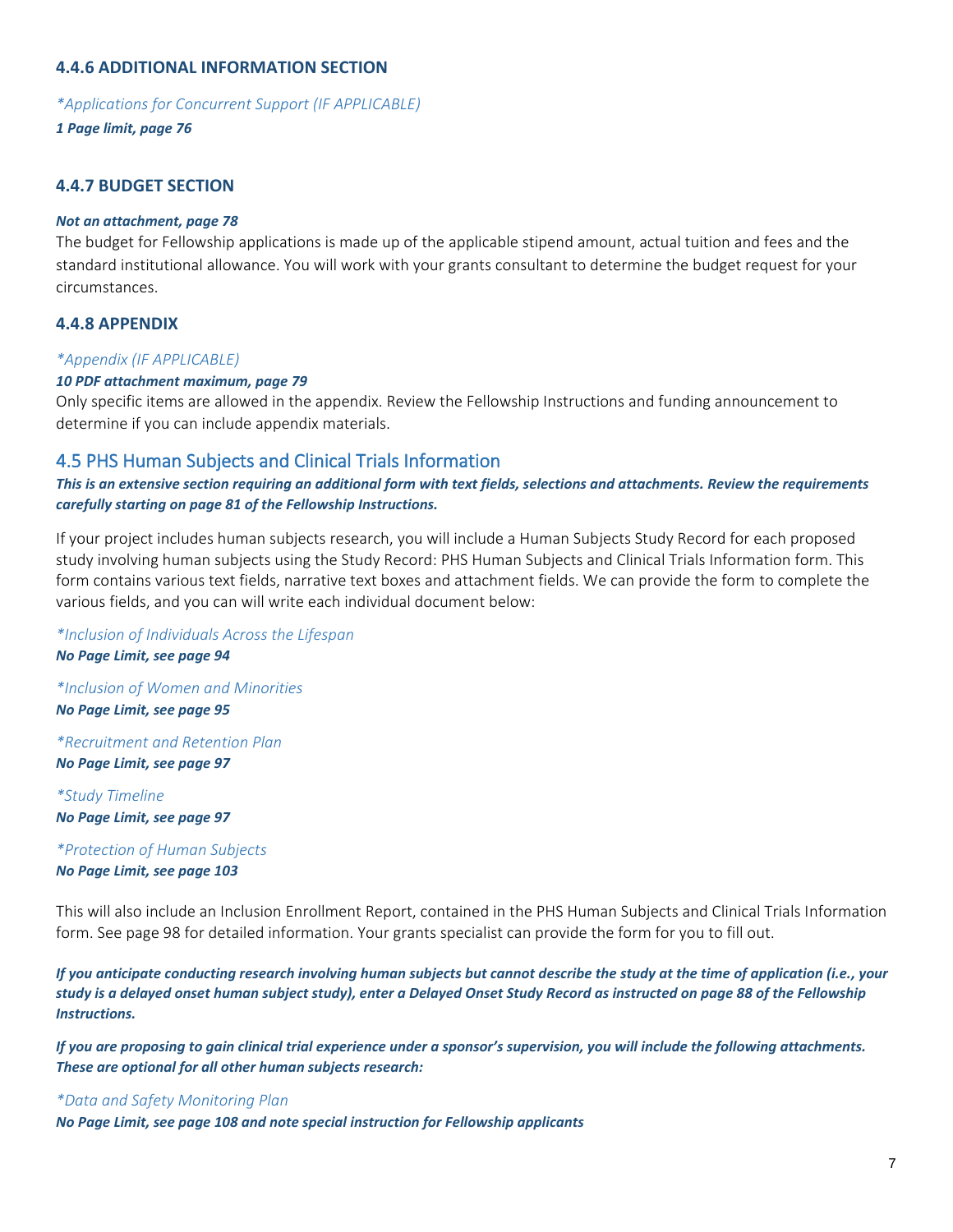### **4.4.6 ADDITIONAL INFORMATION SECTION**

*\*Applications for Concurrent Support (IF APPLICABLE)*

*1 Page limit, page 76*

### **4.4.7 BUDGET SECTION**

#### *Not an attachment, page 78*

The budget for Fellowship applications is made up of the applicable stipend amount, actual tuition and fees and the standard institutional allowance. You will work with your grants consultant to determine the budget request for your circumstances.

### **4.4.8 APPENDIX**

#### *\*Appendix (IF APPLICABLE)*

#### *10 PDF attachment maximum, page 79*

Only specific items are allowed in the appendix. Review the Fellowship Instructions and funding announcement to determine if you can include appendix materials.

## <span id="page-6-0"></span>4.5 PHS Human Subjects and Clinical Trials Information

*This is an extensive section requiring an additional form with text fields, selections and attachments. Review the requirements carefully starting on page 81 of the Fellowship Instructions.*

If your project includes human subjects research, you will include a Human Subjects Study Record for each proposed study involving human subjects using the Study Record: PHS Human Subjects and Clinical Trials Information form. This form contains various text fields, narrative text boxes and attachment fields. We can provide the form to complete the various fields, and you can will write each individual document below:

#### *\*Inclusion of Individuals Across the Lifespan*

*No Page Limit, see page 94*

*\*Inclusion of Women and Minorities No Page Limit, see page 95*

*\*Recruitment and Retention Plan No Page Limit, see page 97*

*\*Study Timeline No Page Limit, see page 97*

*\*Protection of Human Subjects No Page Limit, see page 103*

This will also include an Inclusion Enrollment Report, contained in the PHS Human Subjects and Clinical Trials Information form. See page 98 for detailed information. Your grants specialist can provide the form for you to fill out.

*If you anticipate conducting research involving human subjects but cannot describe the study at the time of application (i.e., your study is a delayed onset human subject study), enter a Delayed Onset Study Record as instructed on page 88 of the Fellowship Instructions.*

*If you are proposing to gain clinical trial experience under a sponsor's supervision, you will include the following attachments. These are optional for all other human subjects research:*

#### *\*Data and Safety Monitoring Plan*

*No Page Limit, see page 108 and note special instruction for Fellowship applicants*